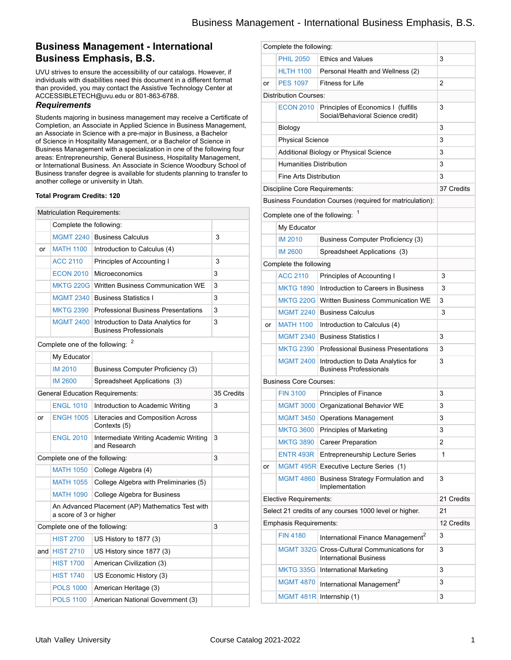## **Business Management - International Business Emphasis, B.S.**

UVU strives to ensure the accessibility of our catalogs. However, if individuals with disabilities need this document in a different format than provided, you may contact the Assistive Technology Center at ACCESSIBLETECH@uvu.edu or 801-863-6788.

### *Requirements*

Students majoring in business management may receive a Certificate of Completion, an Associate in Applied Science in Business Management, an Associate in Science with a pre-major in Business, a Bachelor of Science in Hospitality Management, or a Bachelor of Science in Business Management with a specialization in one of the following four areas: Entrepreneurship, General Business, Hospitality Management, or International Business. An Associate in Science Woodbury School of Business transfer degree is available for students planning to transfer to another college or university in Utah.

#### **Total Program Credits: 120**

|    | <b>Matriculation Requirements:</b> |                                                                     |            |  |
|----|------------------------------------|---------------------------------------------------------------------|------------|--|
|    | Complete the following:            |                                                                     |            |  |
|    |                                    | MGMT 2240 Business Calculus                                         | 3          |  |
| or | <b>MATH 1100</b>                   | Introduction to Calculus (4)                                        |            |  |
|    | <b>ACC 2110</b>                    | Principles of Accounting I                                          | 3          |  |
|    | <b>ECON 2010</b>                   | Microeconomics                                                      | 3          |  |
|    | <b>MKTG 220G</b>                   | <b>Written Business Communication WE</b>                            | 3          |  |
|    | <b>MGMT 2340</b>                   | <b>Business Statistics I</b>                                        | 3          |  |
|    | <b>MKTG 2390</b>                   | <b>Professional Business Presentations</b>                          | 3          |  |
|    | <b>MGMT 2400</b>                   | Introduction to Data Analytics for<br><b>Business Professionals</b> | 3          |  |
|    | Complete one of the following:     |                                                                     |            |  |
|    | My Educator                        |                                                                     |            |  |
|    | <b>IM 2010</b>                     | Business Computer Proficiency (3)                                   |            |  |
|    | <b>IM 2600</b>                     | Spreadsheet Applications (3)                                        |            |  |
|    |                                    | <b>General Education Requirements:</b>                              | 35 Credits |  |
|    | <b>ENGL 1010</b>                   | Introduction to Academic Writing                                    | 3          |  |
| or | <b>ENGH 1005</b>                   | Literacies and Composition Across<br>Contexts (5)                   |            |  |
|    | <b>ENGL 2010</b>                   | Intermediate Writing Academic Writing<br>and Research               | 3          |  |
|    | Complete one of the following:     |                                                                     | 3          |  |
|    | <b>MATH 1050</b>                   | College Algebra (4)                                                 |            |  |
|    | <b>MATH 1055</b>                   | College Algebra with Preliminaries (5)                              |            |  |
|    | <b>MATH 1090</b>                   | <b>College Algebra for Business</b>                                 |            |  |
|    | a score of 3 or higher             | An Advanced Placement (AP) Mathematics Test with                    |            |  |
|    | Complete one of the following:     |                                                                     | 3          |  |
|    | <b>HIST 2700</b>                   | US History to 1877 (3)                                              |            |  |
|    | and $HIST 2710$                    | US History since 1877 (3)                                           |            |  |
|    | <b>HIST 1700</b>                   | American Civilization (3)                                           |            |  |
|    | <b>HIST 1740</b>                   | US Economic History (3)                                             |            |  |
|    | <b>POLS 1000</b>                   | American Heritage (3)                                               |            |  |
|    | <b>POLS 1100</b>                   | American National Government (3)                                    |            |  |

| Complete the following:                                |                                        |                                                                              |            |  |
|--------------------------------------------------------|----------------------------------------|------------------------------------------------------------------------------|------------|--|
|                                                        | <b>PHIL 2050</b>                       | <b>Ethics and Values</b>                                                     | 3          |  |
|                                                        | <b>HLTH 1100</b>                       | Personal Health and Wellness (2)                                             |            |  |
| or                                                     | <b>PES 1097</b>                        | <b>Fitness for Life</b>                                                      | 2          |  |
|                                                        | <b>Distribution Courses:</b>           |                                                                              |            |  |
|                                                        | <b>ECON 2010</b>                       | Principles of Economics I (fulfills<br>Social/Behavioral Science credit)     | 3          |  |
|                                                        | Biology                                |                                                                              | 3          |  |
|                                                        | <b>Physical Science</b>                |                                                                              | 3          |  |
|                                                        | Additional Biology or Physical Science |                                                                              | 3          |  |
|                                                        | <b>Humanities Distribution</b>         |                                                                              | 3          |  |
|                                                        | <b>Fine Arts Distribution</b>          |                                                                              | 3          |  |
|                                                        | Discipline Core Requirements:          |                                                                              | 37 Credits |  |
|                                                        |                                        | Business Foundation Courses (required for matriculation):                    |            |  |
|                                                        | Complete one of the following:         |                                                                              |            |  |
|                                                        | My Educator                            |                                                                              |            |  |
|                                                        | <b>IM 2010</b>                         | Business Computer Proficiency (3)                                            |            |  |
|                                                        | <b>IM 2600</b>                         | Spreadsheet Applications (3)                                                 |            |  |
|                                                        | Complete the following                 |                                                                              |            |  |
|                                                        | <b>ACC 2110</b>                        | Principles of Accounting I                                                   | 3          |  |
|                                                        | <b>MKTG 1890</b>                       | Introduction to Careers in Business                                          | 3          |  |
|                                                        | <b>MKTG 220G</b>                       | Written Business Communication WE                                            | 3          |  |
|                                                        | <b>MGMT 2240</b>                       | <b>Business Calculus</b>                                                     | 3          |  |
| or                                                     | <b>MATH 1100</b>                       | Introduction to Calculus (4)                                                 |            |  |
|                                                        | <b>MGMT 2340</b>                       | <b>Business Statistics I</b>                                                 | 3          |  |
|                                                        | <b>MKTG 2390</b>                       | <b>Professional Business Presentations</b>                                   | 3          |  |
|                                                        | <b>MGMT 2400</b>                       | Introduction to Data Analytics for<br><b>Business Professionals</b>          | 3          |  |
|                                                        | <b>Business Core Courses:</b>          |                                                                              |            |  |
|                                                        | <b>FIN 3100</b>                        | Principles of Finance                                                        | 3          |  |
|                                                        |                                        | MGMT 3000 Organizational Behavior WE                                         | 3          |  |
|                                                        | <b>MGMT 3450</b>                       | <b>Operations Management</b>                                                 | 3          |  |
|                                                        | <b>MKTG 3600</b>                       | <b>Principles of Marketing</b>                                               | 3          |  |
|                                                        | <b>MKTG 3890</b>                       | <b>Career Preparation</b>                                                    | 2          |  |
|                                                        | ENTR 493R                              | <b>Entrepreneurship Lecture Series</b>                                       | 1          |  |
| or                                                     |                                        | MGMT 495R Executive Lecture Series (1)                                       |            |  |
|                                                        | <b>MGMT 4860</b>                       | <b>Business Strategy Formulation and</b><br>Implementation                   | 3          |  |
| Elective Requirements:                                 |                                        |                                                                              | 21 Credits |  |
| Select 21 credits of any courses 1000 level or higher. |                                        |                                                                              | 21         |  |
|                                                        | Emphasis Requirements:                 |                                                                              | 12 Credits |  |
|                                                        | <b>FIN 4180</b>                        | International Finance Management <sup>2</sup>                                | 3          |  |
|                                                        |                                        | MGMT 332G Cross-Cultural Communications for<br><b>International Business</b> | 3          |  |
|                                                        |                                        | MKTG 335G   International Marketing                                          | 3          |  |
|                                                        | <b>MGMT 4870</b>                       | International Management <sup>2</sup>                                        | 3          |  |
|                                                        | <b>MGMT 481R</b>                       | Internship (1)                                                               | 3          |  |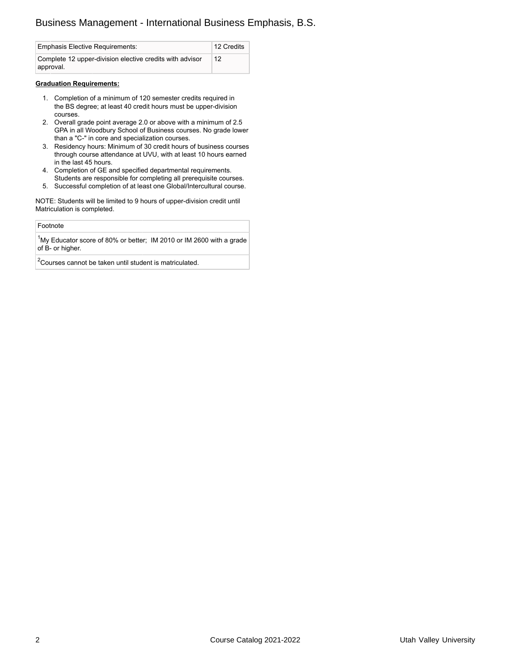# Business Management - International Business Emphasis, B.S.

| <b>Emphasis Elective Requirements:</b>                                | 12 Credits |
|-----------------------------------------------------------------------|------------|
| Complete 12 upper-division elective credits with advisor<br>approval. | 12         |

#### **Graduation Requirements:**

- 1. Completion of a minimum of 120 semester credits required in the BS degree; at least 40 credit hours must be upper-division courses.
- 2. Overall grade point average 2.0 or above with a minimum of 2.5 GPA in all Woodbury School of Business courses. No grade lower than a "C-" in core and specialization courses.
- 3. Residency hours: Minimum of 30 credit hours of business courses through course attendance at UVU, with at least 10 hours earned in the last 45 hours.
- 4. Completion of GE and specified departmental requirements. Students are responsible for completing all prerequisite courses.
- 5. Successful completion of at least one Global/Intercultural course.

NOTE: Students will be limited to 9 hours of upper-division credit until Matriculation is completed.

#### Footnote

 $1$ My Educator score of 80% or better; IM 2010 or IM 2600 with a grade of B- or higher.

 $2$ Courses cannot be taken until student is matriculated.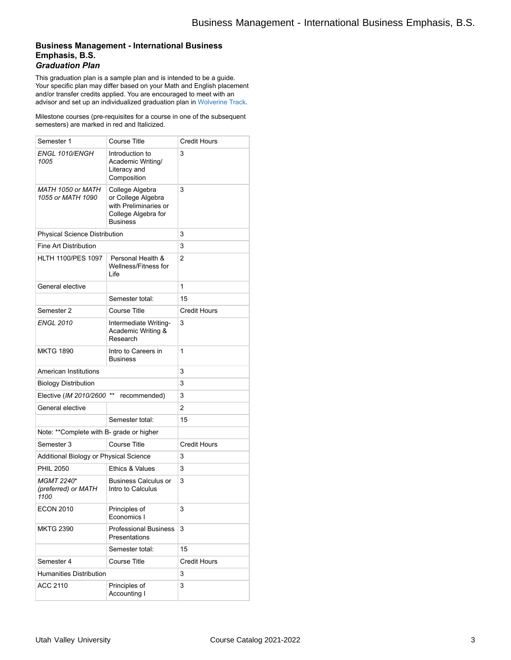## **Business Management - International Business Emphasis, B.S.** *Graduation Plan*

This graduation plan is a sample plan and is intended to be a guide. Your specific plan may differ based on your Math and English placement and/or transfer credits applied. You are encouraged to meet with an advisor and set up an individualized graduation plan in [Wolverine](http://www.uvu.edu/wolverinetrack/index.html) Track.

Milestone courses (pre-requisites for a course in one of the subsequent semesters) are marked in red and Italicized.

| Semester 1                                       | <b>Course Title</b>                                                                                      | <b>Credit Hours</b> |  |
|--------------------------------------------------|----------------------------------------------------------------------------------------------------------|---------------------|--|
| ENGL 1010/ENGH<br>1005                           | Introduction to<br>Academic Writing/<br>Literacy and<br>Composition                                      | 3                   |  |
| MATH 1050 or MATH<br>1055 or MATH 1090           | College Algebra<br>or College Algebra<br>with Preliminaries or<br>College Algebra for<br><b>Business</b> | 3                   |  |
| Physical Science Distribution                    |                                                                                                          | 3                   |  |
| <b>Fine Art Distribution</b>                     | 3                                                                                                        |                     |  |
| <b>HLTH 1100/PES 1097</b>                        | Personal Health &<br>Wellness/Fitness for<br>Life                                                        | 2                   |  |
| General elective                                 |                                                                                                          | 1                   |  |
|                                                  | Semester total:                                                                                          | 15                  |  |
| Semester 2                                       | <b>Course Title</b>                                                                                      | <b>Credit Hours</b> |  |
| <b>ENGL 2010</b>                                 | Intermediate Writing-<br>Academic Writing &<br>Research                                                  | 3                   |  |
| MKTG 1890                                        | Intro to Careers in<br><b>Business</b>                                                                   | 1                   |  |
| American Institutions                            |                                                                                                          | 3                   |  |
| <b>Biology Distribution</b>                      |                                                                                                          | 3                   |  |
| Elective (IM 2010/2600 **                        | recommended)                                                                                             | 3                   |  |
| General elective                                 |                                                                                                          | 2                   |  |
|                                                  | Semester total:                                                                                          | 15                  |  |
|                                                  | Note: ** Complete with B- grade or higher                                                                |                     |  |
|                                                  |                                                                                                          |                     |  |
| Semester 3                                       | <b>Course Title</b>                                                                                      | <b>Credit Hours</b> |  |
| Additional Biology or Physical Science           |                                                                                                          | 3                   |  |
| <b>PHIL 2050</b>                                 | Ethics & Values                                                                                          | 3                   |  |
| <b>MGMT 2240*</b><br>(preferred) or MATH<br>1100 | <b>Business Calculus or</b><br>Intro to Calculus                                                         | 3                   |  |
| <b>ECON 2010</b>                                 | Principles of<br>Economics I                                                                             | 3                   |  |
| <b>MKTG 2390</b>                                 | <b>Professional Business</b><br>Presentations                                                            | 3                   |  |
|                                                  | Semester total:                                                                                          | 15                  |  |
| Semester 4                                       | <b>Course Title</b>                                                                                      | <b>Credit Hours</b> |  |
| <b>Humanities Distribution</b>                   |                                                                                                          | 3                   |  |